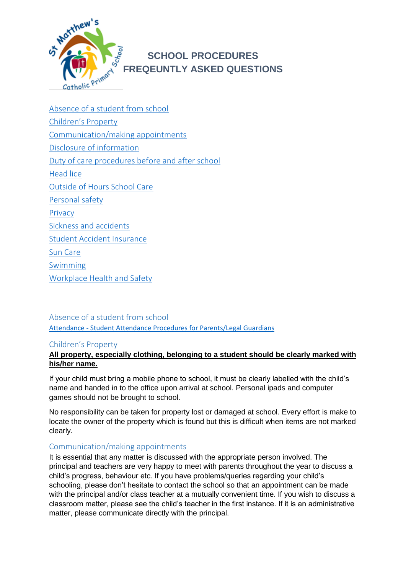

# **SCHOOL PROCEDURES FREQEUNTLY ASKED QUESTIONS**

[Absence of a student from school](#page-0-0) [Children's Property](#page-0-1) [Communication/making appointments](#page-0-2) [Disclosure of information](#page-1-0) [Duty of care procedures before and after school](#page-1-1) [Head lice](#page-1-2) [Outside of Hours School Care](#page-1-3) [Personal safety](#page-1-4) [Privacy](#page-1-5) [Sickness and accidents](#page-2-0) [Student Accident Insurance](#page-3-0) [Sun Care](#page-3-1) [Swimming](#page-3-2) [Workplace Health and Safety](#page-3-3)

<span id="page-0-0"></span>Absence of a student from school Attendance - [Student Attendance Procedures for Parents/Legal Guardians](https://extranet.bne.catholic.edu.au/parent/stmatthews/ourschool/Lists/Forms%20and%20Documents/Forms/AllItems.aspx)

# <span id="page-0-1"></span>Children's Property

# **All property, especially clothing, belonging to a student should be clearly marked with his/her name.**

If your child must bring a mobile phone to school, it must be clearly labelled with the child's name and handed in to the office upon arrival at school. Personal ipads and computer games should not be brought to school.

No responsibility can be taken for property lost or damaged at school. Every effort is make to locate the owner of the property which is found but this is difficult when items are not marked clearly.

# <span id="page-0-2"></span>Communication/making appointments

It is essential that any matter is discussed with the appropriate person involved. The principal and teachers are very happy to meet with parents throughout the year to discuss a child's progress, behaviour etc. If you have problems/queries regarding your child's schooling, please don't hesitate to contact the school so that an appointment can be made with the principal and/or class teacher at a mutually convenient time. If you wish to discuss a classroom matter, please see the child's teacher in the first instance. If it is an administrative matter, please communicate directly with the principal.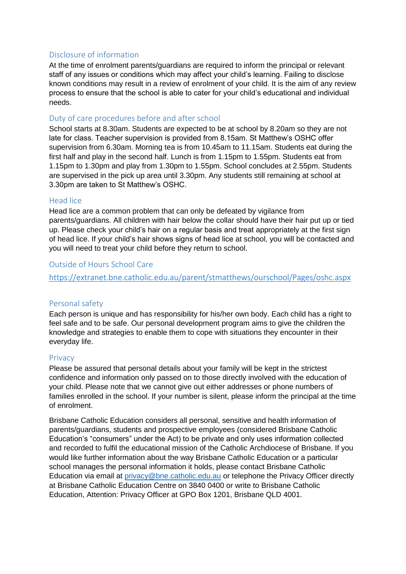# <span id="page-1-0"></span>Disclosure of information

At the time of enrolment parents/guardians are required to inform the principal or relevant staff of any issues or conditions which may affect your child's learning. Failing to disclose known conditions may result in a review of enrolment of your child. It is the aim of any review process to ensure that the school is able to cater for your child's educational and individual needs.

## <span id="page-1-1"></span>Duty of care procedures before and after school

School starts at 8.30am. Students are expected to be at school by 8.20am so they are not late for class. Teacher supervision is provided from 8.15am. St Matthew's OSHC offer supervision from 6.30am. Morning tea is from 10.45am to 11.15am. Students eat during the first half and play in the second half. Lunch is from 1.15pm to 1.55pm. Students eat from 1.15pm to 1.30pm and play from 1.30pm to 1.55pm. School concludes at 2.55pm. Students are supervised in the pick up area until 3.30pm. Any students still remaining at school at 3.30pm are taken to St Matthew's OSHC.

#### <span id="page-1-2"></span>Head lice

Head lice are a common problem that can only be defeated by vigilance from parents/guardians. All children with hair below the collar should have their hair put up or tied up. Please check your child's hair on a regular basis and treat appropriately at the first sign of head lice. If your child's hair shows signs of head lice at school, you will be contacted and you will need to treat your child before they return to school.

## <span id="page-1-3"></span>Outside of Hours School Care

<https://extranet.bne.catholic.edu.au/parent/stmatthews/ourschool/Pages/oshc.aspx>

# <span id="page-1-4"></span>Personal safety

Each person is unique and has responsibility for his/her own body. Each child has a right to feel safe and to be safe. Our personal development program aims to give the children the knowledge and strategies to enable them to cope with situations they encounter in their everyday life.

#### <span id="page-1-5"></span>Privacy

Please be assured that personal details about your family will be kept in the strictest confidence and information only passed on to those directly involved with the education of your child. Please note that we cannot give out either addresses or phone numbers of families enrolled in the school. If your number is silent, please inform the principal at the time of enrolment.

Brisbane Catholic Education considers all personal, sensitive and health information of parents/guardians, students and prospective employees (considered Brisbane Catholic Education's "consumers" under the Act) to be private and only uses information collected and recorded to fulfil the educational mission of the Catholic Archdiocese of Brisbane. If you would like further information about the way Brisbane Catholic Education or a particular school manages the personal information it holds, please contact Brisbane Catholic Education via email at [privacy@bne.catholic.edu.au](mailto:privacy@bne.catholic.edu.au) or telephone the Privacy Officer directly at Brisbane Catholic Education Centre on 3840 0400 or write to Brisbane Catholic Education, Attention: Privacy Officer at GPO Box 1201, Brisbane QLD 4001.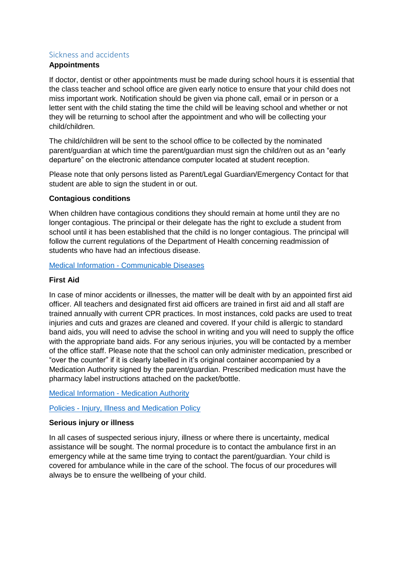## <span id="page-2-0"></span>Sickness and accidents

## **Appointments**

If doctor, dentist or other appointments must be made during school hours it is essential that the class teacher and school office are given early notice to ensure that your child does not miss important work. Notification should be given via phone call, email or in person or a letter sent with the child stating the time the child will be leaving school and whether or not they will be returning to school after the appointment and who will be collecting your child/children.

The child/children will be sent to the school office to be collected by the nominated parent/guardian at which time the parent/guardian must sign the child/ren out as an "early departure" on the electronic attendance computer located at student reception.

Please note that only persons listed as Parent/Legal Guardian/Emergency Contact for that student are able to sign the student in or out.

#### **Contagious conditions**

When children have contagious conditions they should remain at home until they are no longer contagious. The principal or their delegate has the right to exclude a student from school until it has been established that the child is no longer contagious. The principal will follow the current regulations of the Department of Health concerning readmission of students who have had an infectious disease.

Medical Information - [Communicable Diseases](https://extranet.bne.catholic.edu.au/parent/stmatthews/ourschool/Lists/Forms%20and%20Documents/Forms/AllItems.aspx)

## **First Aid**

In case of minor accidents or illnesses, the matter will be dealt with by an appointed first aid officer. All teachers and designated first aid officers are trained in first aid and all staff are trained annually with current CPR practices. In most instances, cold packs are used to treat injuries and cuts and grazes are cleaned and covered. If your child is allergic to standard band aids, you will need to advise the school in writing and you will need to supply the office with the appropriate band aids. For any serious injuries, you will be contacted by a member of the office staff. Please note that the school can only administer medication, prescribed or "over the counter" if it is clearly labelled in it's original container accompanied by a Medication Authority signed by the parent/guardian. Prescribed medication must have the pharmacy label instructions attached on the packet/bottle.

[Medical Information -](https://extranet.bne.catholic.edu.au/parent/stmatthews/ourschool/Lists/Forms%20and%20Documents/Forms/AllItems.aspx) Medication Authority

Policies - [Injury, Illness and Medication Policy](https://extranet.bne.catholic.edu.au/parent/stmatthews/ourschool/Lists/Forms%20and%20Documents/Forms/AllItems.aspx)

# **Serious injury or illness**

In all cases of suspected serious injury, illness or where there is uncertainty, medical assistance will be sought. The normal procedure is to contact the ambulance first in an emergency while at the same time trying to contact the parent/guardian. Your child is covered for ambulance while in the care of the school. The focus of our procedures will always be to ensure the wellbeing of your child.